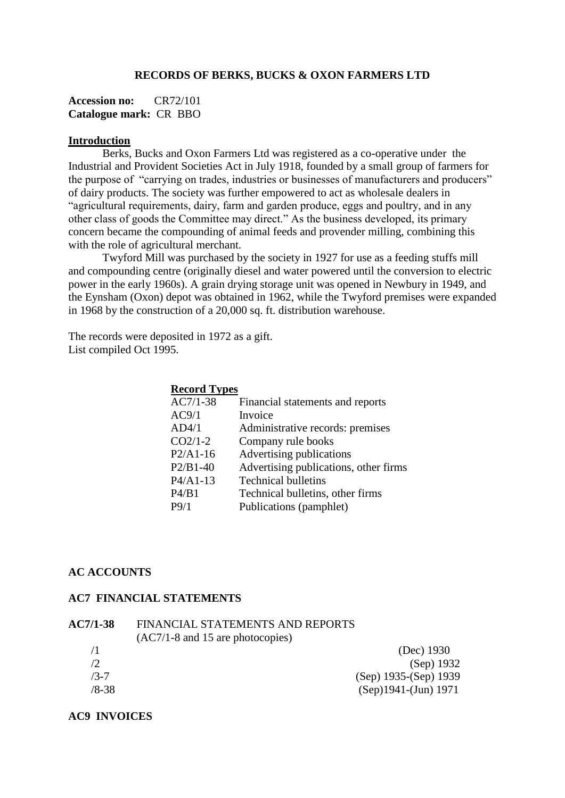### **RECORDS OF BERKS, BUCKS & OXON FARMERS LTD**

**Accession no:** CR72/101 **Catalogue mark:** CR BBO

#### **Introduction**

Berks, Bucks and Oxon Farmers Ltd was registered as a co-operative under the Industrial and Provident Societies Act in July 1918, founded by a small group of farmers for the purpose of "carrying on trades, industries or businesses of manufacturers and producers" of dairy products. The society was further empowered to act as wholesale dealers in "agricultural requirements, dairy, farm and garden produce, eggs and poultry, and in any other class of goods the Committee may direct." As the business developed, its primary concern became the compounding of animal feeds and provender milling, combining this with the role of agricultural merchant.

Twyford Mill was purchased by the society in 1927 for use as a feeding stuffs mill and compounding centre (originally diesel and water powered until the conversion to electric power in the early 1960s). A grain drying storage unit was opened in Newbury in 1949, and the Eynsham (Oxon) depot was obtained in 1962, while the Twyford premises were expanded in 1968 by the construction of a 20,000 sq. ft. distribution warehouse.

The records were deposited in 1972 as a gift. List compiled Oct 1995.

| <b>Record Types</b> |                                       |
|---------------------|---------------------------------------|
| $AC7/1-38$          | Financial statements and reports      |
| AC9/1               | Invoice                               |
| AD4/1               | Administrative records: premises      |
| $CO2/1-2$           | Company rule books                    |
| $P2/A1-16$          | Advertising publications              |
| $P2/B1-40$          | Advertising publications, other firms |
| P4/A1-13            | <b>Technical bulletins</b>            |
| P4/B1               | Technical bulletins, other firms      |
| P9/1                | Publications (pamphlet)               |
|                     |                                       |

#### **AC ACCOUNTS**

### **AC7 FINANCIAL STATEMENTS**

| <b>AC7/1-38</b> | FINANCIAL STATEMENTS AND REPORTS   |
|-----------------|------------------------------------|
|                 | $(AC7/1-8$ and 15 are photocopies) |
| 71              | (Dec) 1930                         |
| /2              | (Sep) 1932                         |
| $/3 - 7$        | $(Sep)$ 1935- $(Sep)$ 1939         |
| $/8 - 38$       | $(Sep)1941-(Jun) 1971$             |
|                 |                                    |

#### **AC9 INVOICES**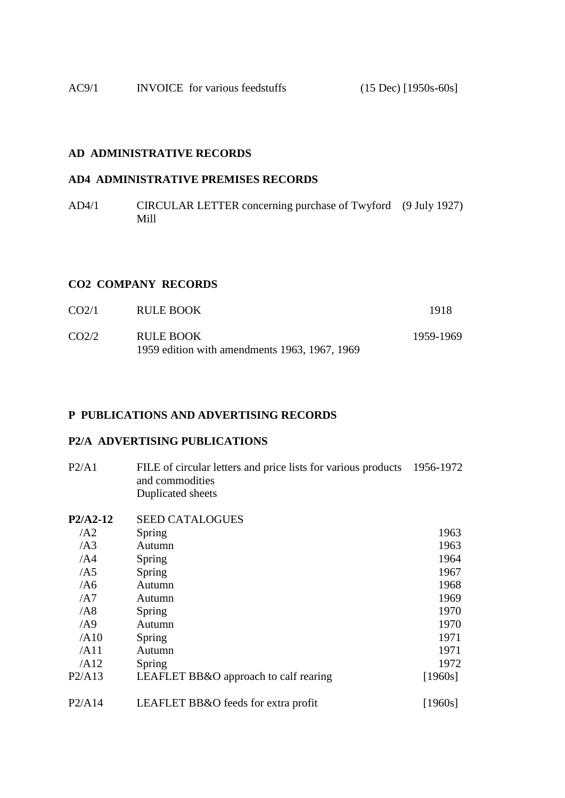AC9/1 INVOICE for various feedstuffs (15 Dec) [1950s-60s]

# **AD ADMINISTRATIVE RECORDS**

## **AD4 ADMINISTRATIVE PREMISES RECORDS**

AD4/1 CIRCULAR LETTER concerning purchase of Twyford (9 July 1927) Mill

## **CO2 COMPANY RECORDS**

| CO <sub>2/1</sub> | <b>RULE BOOK</b>                                                  | 1918      |
|-------------------|-------------------------------------------------------------------|-----------|
| CO <sub>2/2</sub> | <b>RULE BOOK</b><br>1959 edition with amendments 1963, 1967, 1969 | 1959-1969 |

#### **P PUBLICATIONS AND ADVERTISING RECORDS**

# **P2/A ADVERTISING PUBLICATIONS**

| P2/A1 | FILE of circular letters and price lists for various products 1956-1972 |  |
|-------|-------------------------------------------------------------------------|--|
|       | and commodities                                                         |  |
|       | Duplicated sheets                                                       |  |

| P2/A2-12        | <b>SEED CATALOGUES</b>                |         |
|-----------------|---------------------------------------|---------|
| / A2            | Spring                                | 1963    |
| /AS             | Autumn                                | 1963    |
| /AA             | Spring                                | 1964    |
| /AS             | Spring                                | 1967    |
| /AG             | Autumn                                | 1968    |
| / A7            | Autumn                                | 1969    |
| /AB             | Spring                                | 1970    |
| $\overline{AB}$ | Autumn                                | 1970    |
| /AI0            | Spring                                | 1971    |
| /AI1            | Autumn                                | 1971    |
| /AI2            | Spring                                | 1972    |
| P2/A13          | LEAFLET BB&O approach to calf rearing | [1960s] |
| P2/A14          | LEAFLET BB&O feeds for extra profit   | [1960s] |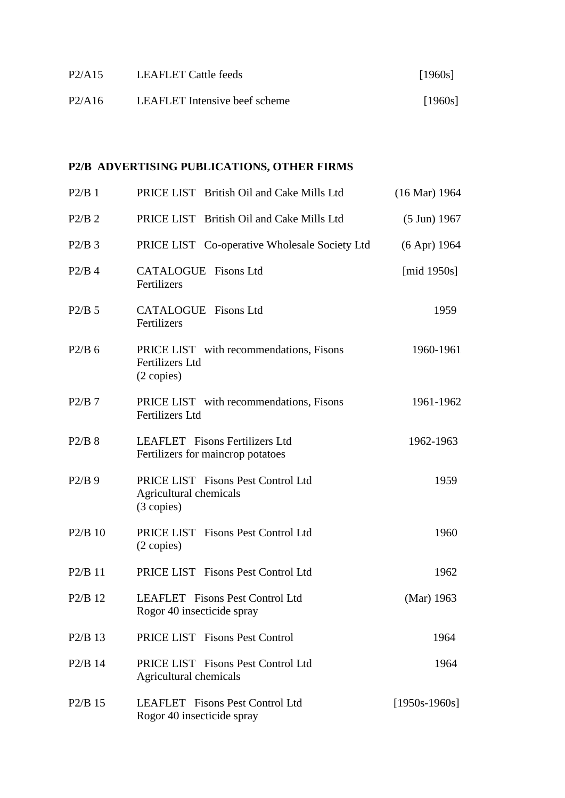| P2/A15 | LEAFLET Cattle feeds                 | [1960s] |
|--------|--------------------------------------|---------|
| P2/A16 | <b>LEAFLET</b> Intensive beef scheme | [1960s] |

# **P2/B ADVERTISING PUBLICATIONS, OTHER FIRMS**

| $P2/B$ 1                        | PRICE LIST British Oil and Cake Mills Ltd                                       | $(16 \text{ Mar}) 1964$ |
|---------------------------------|---------------------------------------------------------------------------------|-------------------------|
| $P2/B$ 2                        | PRICE LIST British Oil and Cake Mills Ltd                                       | $(5 \text{ Jun})$ 1967  |
| $P2/B$ 3                        | PRICE LIST Co-operative Wholesale Society Ltd                                   | $(6$ Apr) 1964          |
| $P2/B$ 4                        | <b>CATALOGUE</b> Fisons Ltd<br>Fertilizers                                      | [mid $1950s$ ]          |
| $P2/B$ 5                        | <b>CATALOGUE</b> Fisons Ltd<br>Fertilizers                                      | 1959                    |
| $P2/B$ 6                        | PRICE LIST with recommendations, Fisons<br><b>Fertilizers Ltd</b><br>(2 copies) | 1960-1961               |
| $P2/B$ 7                        | PRICE LIST with recommendations, Fisons<br><b>Fertilizers Ltd</b>               | 1961-1962               |
| $P2/B$ 8                        | <b>LEAFLET</b> Fisons Fertilizers Ltd<br>Fertilizers for maincrop potatoes      | 1962-1963               |
| $P2/B$ 9                        | PRICE LIST Fisons Pest Control Ltd<br>Agricultural chemicals<br>(3 copies)      | 1959                    |
| $P2/B$ 10                       | PRICE LIST Fisons Pest Control Ltd<br>$(2 \text{ copies})$                      | 1960                    |
| $P2/B$ 11                       | PRICE LIST Fisons Pest Control Ltd                                              | 1962                    |
| $P2/B$ 12                       | LEAFLET Fisons Pest Control Ltd<br>Rogor 40 insecticide spray                   | (Mar) 1963              |
| $P2/B$ 13                       | PRICE LIST Fisons Pest Control                                                  | 1964                    |
| P <sub>2</sub> /B <sub>14</sub> | PRICE LIST Fisons Pest Control Ltd<br>Agricultural chemicals                    | 1964                    |
| $P2/B$ 15                       | LEAFLET Fisons Pest Control Ltd<br>Rogor 40 insecticide spray                   | $[1950s-1960s]$         |
|                                 |                                                                                 |                         |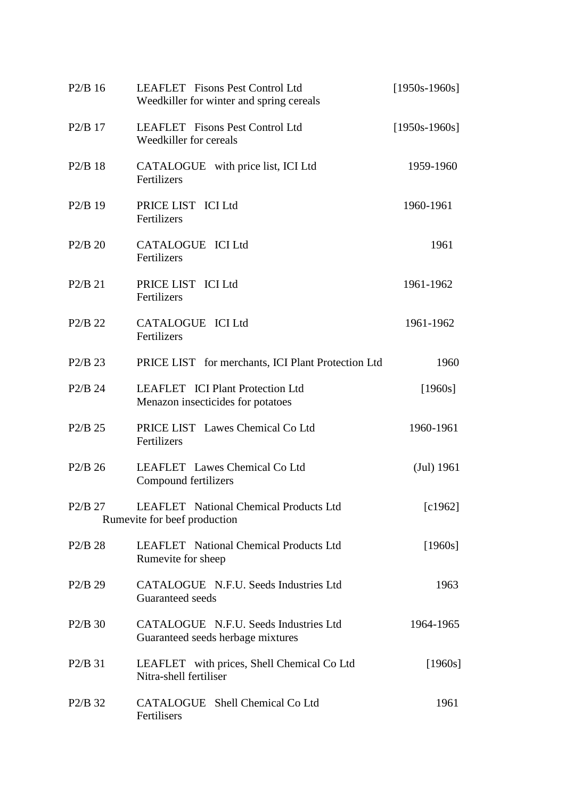| $P2/B$ 16                       | LEAFLET Fisons Pest Control Ltd<br>Weedkiller for winter and spring cereals | $[1950s-1960s]$ |
|---------------------------------|-----------------------------------------------------------------------------|-----------------|
| $P2/B$ 17                       | LEAFLET Fisons Pest Control Ltd<br>Weedkiller for cereals                   | $[1950s-1960s]$ |
| $P2/B$ 18                       | CATALOGUE with price list, ICI Ltd<br>Fertilizers                           | 1959-1960       |
| $P2/B$ 19                       | PRICE LIST ICI Ltd<br>Fertilizers                                           | 1960-1961       |
| P2/B 20                         | CATALOGUE ICI Ltd<br>Fertilizers                                            | 1961            |
| $P2/B$ 21                       | PRICE LIST ICI Ltd<br>Fertilizers                                           | 1961-1962       |
| P <sub>2</sub> /B <sub>22</sub> | CATALOGUE ICI Ltd<br>Fertilizers                                            | 1961-1962       |
| $P2/B$ 23                       | PRICE LIST for merchants, ICI Plant Protection Ltd                          | 1960            |
| $P2/B$ 24                       | LEAFLET ICI Plant Protection Ltd<br>Menazon insecticides for potatoes       | [1960s]         |
| $P2/B$ 25                       | PRICE LIST Lawes Chemical Co Ltd<br>Fertilizers                             | 1960-1961       |
| $P2/B$ 26                       | LEAFLET Lawes Chemical Co Ltd<br>Compound fertilizers                       | (Jul) 1961      |
| P <sub>2</sub> /B <sub>27</sub> | LEAFLET National Chemical Products Ltd<br>Rumevite for beef production      | [c1962]         |
| $P2/B$ 28                       | <b>LEAFLET</b> National Chemical Products Ltd<br>Rumevite for sheep         | [1960s]         |
| $P2/B$ 29                       | CATALOGUE N.F.U. Seeds Industries Ltd<br>Guaranteed seeds                   | 1963            |
| $P2/B$ 30                       | CATALOGUE N.F.U. Seeds Industries Ltd<br>Guaranteed seeds herbage mixtures  | 1964-1965       |
| P2/B 31                         | LEAFLET with prices, Shell Chemical Co Ltd<br>Nitra-shell fertiliser        | [1960s]         |
| P <sub>2</sub> /B <sub>32</sub> | CATALOGUE Shell Chemical Co Ltd<br>Fertilisers                              | 1961            |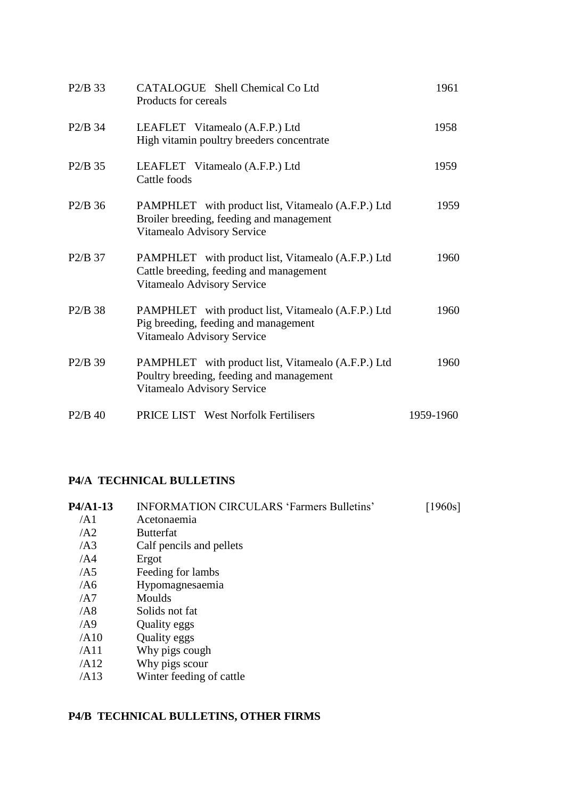| $P2/B$ 33                       | CATALOGUE Shell Chemical Co Ltd<br>Products for cereals                                                                      | 1961      |
|---------------------------------|------------------------------------------------------------------------------------------------------------------------------|-----------|
| $P2/B$ 34                       | LEAFLET Vitamealo (A.F.P.) Ltd<br>High vitamin poultry breeders concentrate                                                  | 1958      |
| $P2/B$ 35                       | LEAFLET Vitamealo (A.F.P.) Ltd<br>Cattle foods                                                                               | 1959      |
| $P2/B$ 36                       | PAMPHLET with product list, Vitamealo (A.F.P.) Ltd<br>Broiler breeding, feeding and management<br>Vitamealo Advisory Service | 1959      |
| $P2/B$ 37                       | PAMPHLET with product list, Vitamealo (A.F.P.) Ltd<br>Cattle breeding, feeding and management<br>Vitamealo Advisory Service  | 1960      |
| $P2/B$ 38                       | PAMPHLET with product list, Vitamealo (A.F.P.) Ltd<br>Pig breeding, feeding and management<br>Vitamealo Advisory Service     | 1960      |
| P <sub>2</sub> /B <sub>39</sub> | PAMPHLET with product list, Vitamealo (A.F.P.) Ltd<br>Poultry breeding, feeding and management<br>Vitamealo Advisory Service | 1960      |
| $P2/B$ 40                       | <b>PRICE LIST</b> West Norfolk Fertilisers                                                                                   | 1959-1960 |

# **P4/A TECHNICAL BULLETINS**

| P4/A1-13        | <b>INFORMATION CIRCULARS 'Farmers Bulletins'</b> | [1960s] |
|-----------------|--------------------------------------------------|---------|
| /A1             | Acetonaemia                                      |         |
| $\overline{A2}$ | <b>Butterfat</b>                                 |         |
| $\overline{AB}$ | Calf pencils and pellets                         |         |
| /AA             | Ergot                                            |         |
| /AS             | Feeding for lambs                                |         |
| /AG             | Hypomagnesaemia                                  |         |
| /AT             | Moulds                                           |         |
| /AS             | Solids not fat                                   |         |
| $\overline{AB}$ | Quality eggs                                     |         |
| /AI0            | Quality eggs                                     |         |
| /AI1            | Why pigs cough                                   |         |
| /AI2            | Why pigs scour                                   |         |
| /AI3            | Winter feeding of cattle                         |         |
|                 |                                                  |         |

# **P4/B TECHNICAL BULLETINS, OTHER FIRMS**